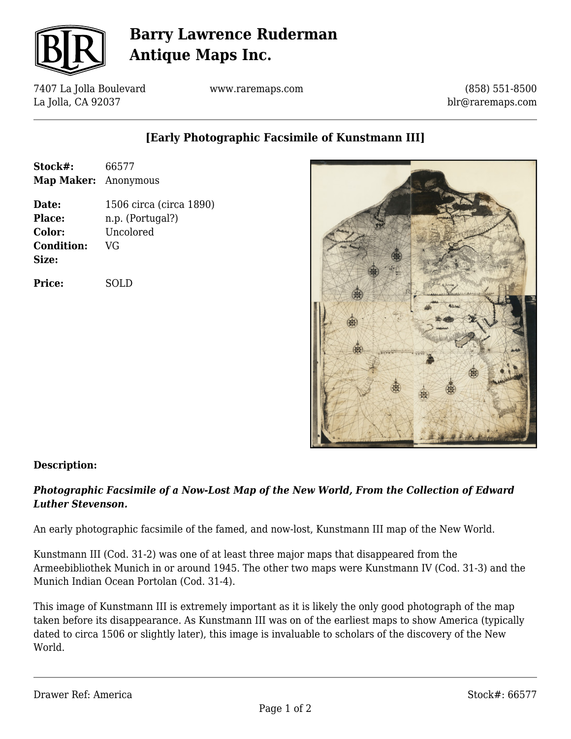

# **Barry Lawrence Ruderman Antique Maps Inc.**

7407 La Jolla Boulevard La Jolla, CA 92037

www.raremaps.com

(858) 551-8500 blr@raremaps.com

## **[Early Photographic Facsimile of Kunstmann III]**

| Stock#:<br><b>Map Maker:</b> Anonymous           | 66577                                                          |
|--------------------------------------------------|----------------------------------------------------------------|
| Date:<br>Place:<br>Color:<br>Condition:<br>Size: | 1506 circa (circa 1890)<br>n.p. (Portugal?)<br>Uncolored<br>VG |
| Price:                                           | SOLD                                                           |



#### **Description:**

### *Photographic Facsimile of a Now-Lost Map of the New World, From the Collection of Edward Luther Stevenson.*

An early photographic facsimile of the famed, and now-lost, Kunstmann III map of the New World.

Kunstmann III (Cod. 31-2) was one of at least three major maps that disappeared from the Armeebibliothek Munich in or around 1945. The other two maps were Kunstmann IV (Cod. 31-3) and the Munich Indian Ocean Portolan (Cod. 31-4).

This image of Kunstmann III is extremely important as it is likely the only good photograph of the map taken before its disappearance. As Kunstmann III was on of the earliest maps to show America (typically dated to circa 1506 or slightly later), this image is invaluable to scholars of the discovery of the New World.